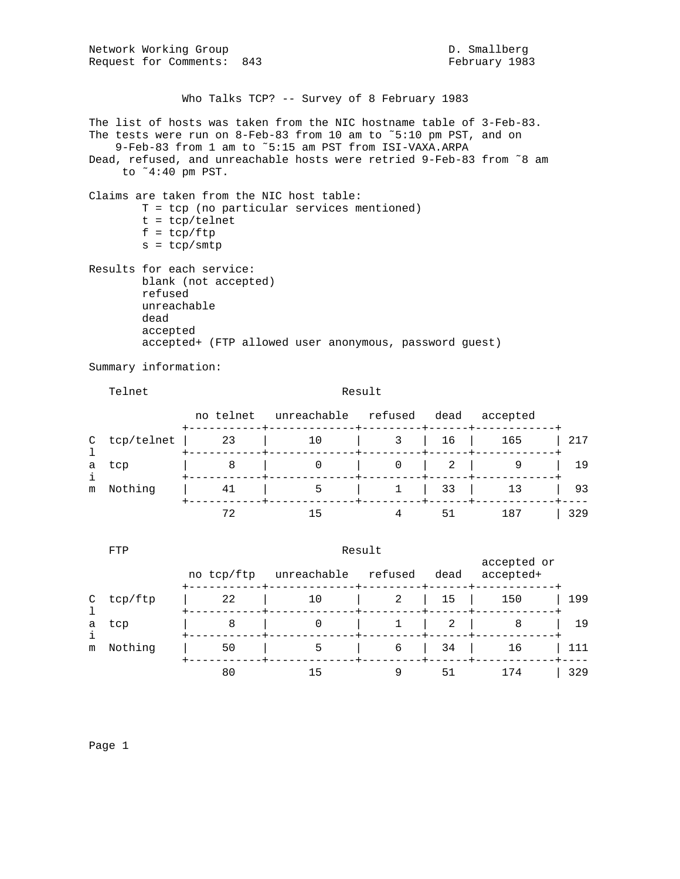Network Working Group and D. Smallberg D. Smallberg Request for Comments: 843 February 1983 Who Talks TCP? -- Survey of 8 February 1983 The list of hosts was taken from the NIC hostname table of 3-Feb-83. The tests were run on 8-Feb-83 from 10 am to ˜5:10 pm PST, and on 9-Feb-83 from 1 am to ˜5:15 am PST from ISI-VAXA.ARPA Dead, refused, and unreachable hosts were retried 9-Feb-83 from ˜8 am to ˜4:40 pm PST. Claims are taken from the NIC host table: T = tcp (no particular services mentioned) t = tcp/telnet  $f = \text{tcp}/\text{ftp}$  $s = \text{tcp/smtp}$ Results for each service: blank (not accepted) refused unreachable dead accepted accepted+ (FTP allowed user anonymous, password guest) Summary information:

Telnet Result

|   |                | no telnet | unreachable refused dead |                                   | accepted     |     |
|---|----------------|-----------|--------------------------|-----------------------------------|--------------|-----|
|   | $C$ tcp/telnet | 23        | 10                       |                                   | 3   16   165 | 217 |
| a | tcp            |           |                          | $0 \quad 2 \quad 1$<br>---+------ |              | 19  |
| m | Nothing        |           | 5                        | $1 \mid 33 \mid$                  | 13           | 93  |
|   |                |           |                          | 51                                | 187          | 329 |

|              | FTP     | Result     |             |         |      |                          |     |  |
|--------------|---------|------------|-------------|---------|------|--------------------------|-----|--|
|              |         | no tcp/ftp | unreachable | refused | dead | accepted or<br>accepted+ |     |  |
| $\mathsf{C}$ | tcp/ftp | 22         | 10          | 2       | 15   | 150                      | 199 |  |
| a            | tcp     | 8          |             |         | 2    | 8                        | 19  |  |
| i<br>m       | Nothing | 50         | 5           | 6       | 34   | 16                       | 111 |  |
|              |         | 80         | 15          |         | 51   | 174                      | 329 |  |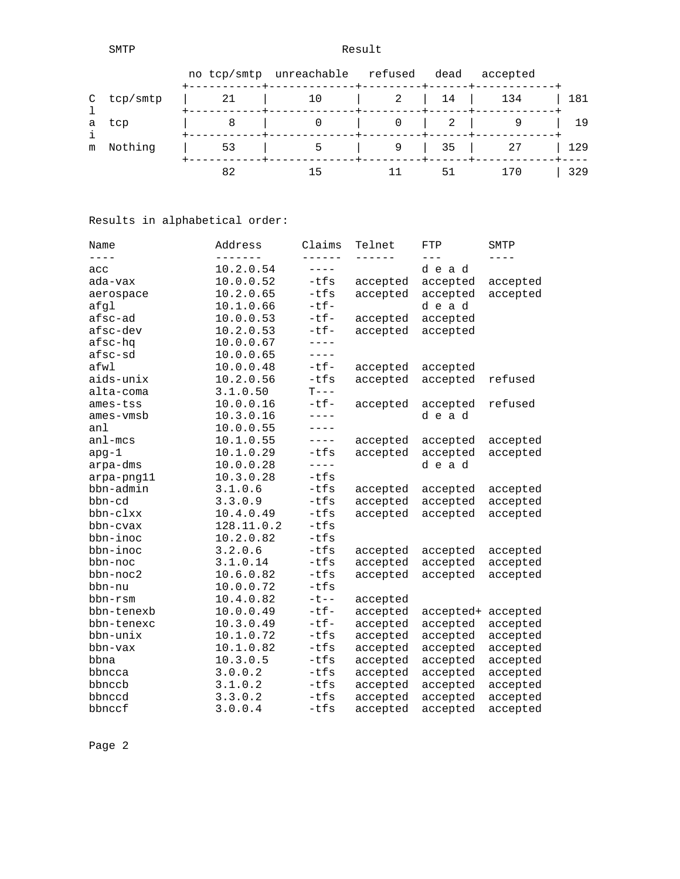SMTP Result

|            |    | no tcp/smtp unreachable refused dead |   |                                                       | accepted |     |
|------------|----|--------------------------------------|---|-------------------------------------------------------|----------|-----|
| C tcp/smtp |    |                                      | 2 | $\begin{array}{ c c c c c c c c } \hline \end{array}$ | 134      | 181 |
| a tcp      |    |                                      |   | 2                                                     |          | 19  |
| m Nothing  | 53 |                                      |   | $\begin{array}{ccc} \vert & 35 \end{array}$           | 27       | 129 |
|            | 82 |                                      |   | 51                                                    | 170      | 329 |

Results in alphabetical order:

| Name        | Address    | Claims                | Telnet   | FTP       | SMTP     |
|-------------|------------|-----------------------|----------|-----------|----------|
| $- - - -$   |            | ------                | ------   | $---$     |          |
| acc         | 10.2.0.54  | $- - - - -$           |          | dead      |          |
| ada-vax     | 10.0.0.52  | $-tfs$                | accepted | accepted  | accepted |
| aerospace   | 10.2.0.65  | $-tfs$                | accepted | accepted  | accepted |
| afql        | 10.1.0.66  | $-tf-$                |          | dead      |          |
| afsc-ad     | 10.0.0.53  | $-tf-$                | accepted | accepted  |          |
| afsc-dev    | 10.2.0.53  | $-tf-$                | accepted | accepted  |          |
| afsc-hq     | 10.0.0.67  | $- - - -$             |          |           |          |
| afsc-sd     | 10.0.0.65  | $---$                 |          |           |          |
| afwl        | 10.0.0.48  | $-tf-$                | accepted | accepted  |          |
| aids-unix   | 10.2.0.56  | $-tfs$                | accepted | accepted  | refused  |
| alta-coma   | 3.1.0.50   | $T---$                |          |           |          |
| ames-tss    | 10.0.0.16  | $-tf-$                | accepted | accepted  | refused  |
| ames-vmsb   | 10.3.0.16  | $- - - -$             |          | dead      |          |
| anl         | 10.0.0.55  | $---$                 |          |           |          |
| $an1 - mcs$ | 10.1.0.55  | $\qquad \qquad - - -$ | accepted | accepted  | accepted |
| $apq-1$     | 10.1.0.29  | $-tfs$                | accepted | accepted  | accepted |
| arpa-dms    | 10.0.0.28  | $- - - -$             |          | dead      |          |
| arpa-png11  | 10.3.0.28  | $-tfs$                |          |           |          |
| bbn-admin   | 3.1.0.6    | $-tfs$                | accepted | accepted  | accepted |
| bbn-cd      | 3.3.0.9    | $-tfs$                | accepted | accepted  | accepted |
| bbn-clxx    | 10.4.0.49  | $-tfs$                | accepted | accepted  | accepted |
| bbn-cvax    | 128.11.0.2 | $-tfs$                |          |           |          |
| bbn-inoc    | 10.2.0.82  | $-tfs$                |          |           |          |
| bbn-inoc    | 3.2.0.6    | $-tfs$                | accepted | accepted  | accepted |
| bbn-noc     | 3.1.0.14   | $-tfs$                | accepted | accepted  | accepted |
| bbn-noc2    | 10.6.0.82  | $-tfs$                | accepted | accepted  | accepted |
| bbn-nu      | 10.0.0.72  | $-tfs$                |          |           |          |
| bbn-rsm     | 10.4.0.82  | $-t$ --               | accepted |           |          |
| bbn-tenexb  | 10.0.0.49  | $-tf-$                | accepted | accepted+ | accepted |
| bbn-tenexc  | 10.3.0.49  | $-tf-$                | accepted | accepted  | accepted |
| bbn-unix    | 10.1.0.72  | $-tfs$                | accepted | accepted  | accepted |
| bbn-vax     | 10.1.0.82  | $-tfs$                | accepted | accepted  | accepted |
| bbna        | 10.3.0.5   | $-tfs$                | accepted | accepted  | accepted |
| bbncca      | 3.0.0.2    | $-tfs$                | accepted | accepted  | accepted |
| bbnccb      | 3.1.0.2    | $-tfs$                | accepted | accepted  | accepted |
| bbnccd      | 3.3.0.2    | $-tfs$                | accepted | accepted  | accepted |
| bbnccf      | 3.0.0.4    | $-tfs$                | accepted | accepted  | accepted |
|             |            |                       |          |           |          |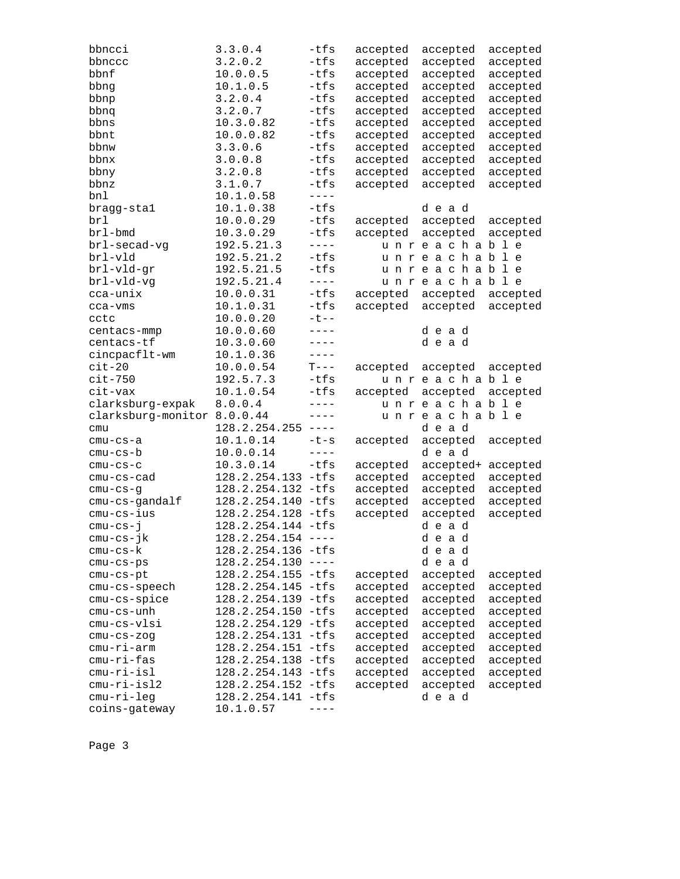| bbncci                        | 3.3.0.4                         | $-tfs$      | accepted | accepted         | accepted |
|-------------------------------|---------------------------------|-------------|----------|------------------|----------|
| bbnccc                        | 3.2.0.2                         | $-tfs$      | accepted | accepted         | accepted |
| bbnf                          | 10.0.0.5                        | $-tfs$      | accepted | accepted         | accepted |
| bbng                          | 10.1.0.5                        | $-tfs$      | accepted | accepted         | accepted |
| bbnp                          | 3.2.0.4                         | -tfs        | accepted | accepted         | accepted |
| bbnq                          | 3.2.0.7                         | $-tfs$      | accepted | accepted         | accepted |
| bbns                          | 10.3.0.82                       | -tfs        | accepted | accepted         | accepted |
| bbnt                          | 10.0.0.82                       | $-tfs$      | accepted | accepted         | accepted |
| bbnw                          | 3.3.0.6                         | $-tfs$      | accepted | accepted         | accepted |
| bbnx                          | 3.0.0.8                         | -tfs        | accepted | accepted         | accepted |
| bbny                          | 3.2.0.8                         | -tfs        | accepted | accepted         | accepted |
| bbnz                          | 3.1.0.7                         | $-tfs$      | accepted | accepted         | accepted |
| bnl                           | 10.1.0.58                       | $- - - -$   |          |                  |          |
| bragg-stal                    | 10.1.0.38                       | $-tfs$      |          | dead             |          |
| brl                           | 10.0.0.29                       | $-tfs$      | accepted | accepted         | accepted |
| brl-bmd                       | 10.3.0.29                       | $-tfs$      | accepted | accepted         | accepted |
| brl-secad-vg                  | 192.5.21.3                      | $- - - -$   |          | unreachable      |          |
| brl-vld                       | 192.5.21.2                      | $-tfs$      |          | unreachable      |          |
| brl-vld-gr                    | 192.5.21.5                      | $-tfs$      |          | unreachable      |          |
| brl-vld-vg                    | 192.5.21.4                      | $- - - -$   |          | unreachable      |          |
| cca-unix                      | 10.0.0.31                       | $-tfs$      | accepted | accepted         | accepted |
|                               | 10.1.0.31                       | $-tfs$      | accepted | accepted         | accepted |
| cca-vms<br>cctc               | 10.0.0.20                       | $-t$ - -    |          |                  |          |
| centacs-mmp                   | 10.0.0.60                       | $- - - -$   |          | dead             |          |
| centacs-tf                    | 10.3.0.60                       | $---$       |          | dead             |          |
| cincpacflt-wm                 | 10.1.0.36                       | $---$       |          |                  |          |
| $cit-20$                      | 10.0.0.54                       | $T---$      | accepted | accepted         | accepted |
| $cit-750$                     | 192.5.7.3                       | $-tfs$      |          | unreachable      |          |
| cit-vax                       | 10.1.0.54                       | -tfs        | accepted | accepted         | accepted |
| clarksburg-expak              | 8.0.0.4                         | $- - - -$   |          | unreachable      |          |
| clarksburg-monitor 8.0.0.44   |                                 | $---$       |          | unreachable      |          |
| cmu                           | $128.2.254.255$ ----            |             |          | dead             |          |
|                               | 10.1.0.14                       | $-t-s$      |          |                  |          |
| cmu-cs-a                      | 10.0.0.14                       | $- - - - -$ | accepted | accepted<br>dead | accepted |
| cmu-cs-b                      |                                 | $-tfs$      |          |                  |          |
| $cmu-cs-c$                    | 10.3.0.14                       |             | accepted | accepted+        | accepted |
| cmu-cs-cad                    | 128.2.254.133 -tfs              |             | accepted | accepted         | accepted |
| $cmu-cs-g$                    | 128.2.254.132 -tfs              |             | accepted | accepted         | accepted |
| cmu-cs-gandalf                | 128.2.254.140 -tfs              |             | accepted | accepted         | accepted |
| cmu-cs-ius                    | 128.2.254.128 -tfs              |             | accepted | accepted         | accepted |
| $cmu-cs-j$                    | 128.2.254.144 -tfs              |             |          | dead             |          |
| cmu-cs-jk                     | $128.2.254.154$ ----            |             |          | dead             |          |
| cmu-cs-k                      | 128.2.254.136 -tfs              |             |          | dead             |          |
| $cmu-cs-ps$                   | $128.2.254.130$ ----            |             |          | dead             |          |
| cmu-cs-pt                     |                                 |             |          |                  |          |
|                               | 128.2.254.155 -tfs              |             | accepted | accepted         | accepted |
| cmu-cs-speech                 | 128.2.254.145                   | -tfs        | accepted | accepted         | accepted |
| cmu-cs-spice                  | 128.2.254.139                   | -tfs        | accepted | accepted         | accepted |
| cmu-cs-unh                    | 128.2.254.150 -tfs              |             | accepted | accepted         | accepted |
| cmu-cs-vlsi                   | 128.2.254.129 -tfs              |             | accepted | accepted         | accepted |
| $cmu-cs-zog$                  | 128.2.254.131 -tfs              |             | accepted | accepted         | accepted |
| cmu-ri-arm                    | 128.2.254.151 -tfs              |             | accepted | accepted         | accepted |
| $cmu-ri-fas$                  | 128.2.254.138                   | $-tfs$      | accepted | accepted         | accepted |
| cmu-ri-isl                    | 128.2.254.143 -tfs              |             | accepted | accepted         | accepted |
| $cmu-ri-isl2$                 | 128.2.254.152 -tfs              |             | accepted | accepted         | accepted |
| $cmu-ri-leg$<br>coins-gateway | 128.2.254.141 -tfs<br>10.1.0.57 |             |          | dead             |          |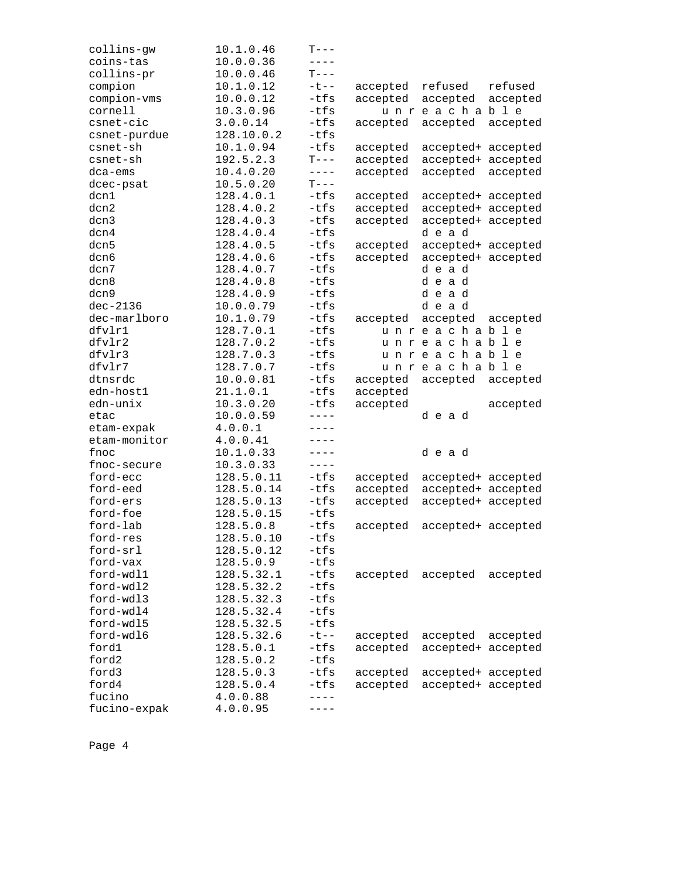| collins-gw   | 10.1.0.46  | T---        |          |                    |          |
|--------------|------------|-------------|----------|--------------------|----------|
| coins-tas    | 10.0.0.36  | $- - - -$   |          |                    |          |
| collins-pr   | 10.0.0.46  | $T---$      |          |                    |          |
| compion      | 10.1.0.12  | $-t$ $-$    | accepted | refused            | refused  |
| compion-vms  | 10.0.0.12  | $-tfs$      | accepted | accepted           | accepted |
| cornell      | 10.3.0.96  | $-tfs$      |          | unreachable        |          |
| csnet-cic    | 3.0.0.14   | $-tfs$      | accepted | accepted           | accepted |
| csnet-purdue | 128.10.0.2 | $-tfs$      |          |                    |          |
| csnet-sh     | 10.1.0.94  | $-tfs$      | accepted | accepted+ accepted |          |
| csnet-sh     | 192.5.2.3  | $T---$      | accepted | accepted+ accepted |          |
| dca-ems      | 10.4.0.20  | $- - - - -$ | accepted | accepted           | accepted |
| dcec-psat    | 10.5.0.20  | $T---$      |          |                    |          |
| dcn1         | 128.4.0.1  | -tfs        | accepted | accepted+ accepted |          |
| dcn2         | 128.4.0.2  | $-tfs$      | accepted | accepted+ accepted |          |
| dcn3         | 128.4.0.3  | $-tfs$      | accepted | accepted+ accepted |          |
| dcn4         | 128.4.0.4  | $-tfs$      |          | dead               |          |
| dcn5         | 128.4.0.5  | $-tfs$      | accepted | accepted+ accepted |          |
| dcn6         | 128.4.0.6  | $-tfs$      | accepted | accepted+ accepted |          |
| dcn7         | 128.4.0.7  | $-tfs$      |          | dead               |          |
| dcn8         | 128.4.0.8  | $-tfs$      |          | dead               |          |
| dcn9         | 128.4.0.9  | $-tfs$      |          | dead               |          |
| $dec-2136$   | 10.0.0.79  | $-tfs$      |          | dead               |          |
| dec-marlboro | 10.1.0.79  | -tfs        | accepted | accepted           | accepted |
| dfvlr1       | 128.7.0.1  | $-tfs$      |          | unreachable        |          |
| dfvlr2       | 128.7.0.2  | $-tfs$      |          | unreachable        |          |
| dfvlr3       | 128.7.0.3  | $-tfs$      |          | unreachable        |          |
| dfvlr7       | 128.7.0.7  | $-tfs$      |          | unreachable        |          |
| dtnsrdc      | 10.0.0.81  | $-tfs$      | accepted | accepted           | accepted |
| edn-host1    | 21.1.0.1   | $-tfs$      | accepted |                    |          |
| edn-unix     | 10.3.0.20  | $-tfs$      | accepted |                    | accepted |
| etac         | 10.0.0.59  | $---$       |          | dead               |          |
| etam-expak   | 4.0.0.1    | ----        |          |                    |          |
| etam-monitor | 4.0.0.41   | $- - - -$   |          |                    |          |
| fnoc         | 10.1.0.33  | $---$       |          | dead               |          |
| fnoc-secure  | 10.3.0.33  | $- - - -$   |          |                    |          |
| ford-ecc     | 128.5.0.11 | -tfs        | accepted | accepted+ accepted |          |
| ford-eed     | 128.5.0.14 | -tfs        | accepted | accepted+ accepted |          |
| ford-ers     | 128.5.0.13 | $-tfs$      | accepted | accepted+ accepted |          |
| ford-foe     | 128.5.0.15 | $-tfs$      |          |                    |          |
| ford-lab     | 128.5.0.8  | -tfs        | accepted | accepted+ accepted |          |
| ford-res     | 128.5.0.10 | $-tfs$      |          |                    |          |
| ford-srl     | 128.5.0.12 | -tfs        |          |                    |          |
| ford-vax     | 128.5.0.9  | $-tfs$      |          |                    |          |
| ford-wdl1    | 128.5.32.1 | $-tfs$      | accepted | accepted           | accepted |
| ford-wdl2    | 128.5.32.2 | $-tfs$      |          |                    |          |
| ford-wdl3    | 128.5.32.3 | $-tfs$      |          |                    |          |
| ford-wdl4    | 128.5.32.4 | $-tfs$      |          |                    |          |
| ford-wdl5    | 128.5.32.5 | $-tfs$      |          |                    |          |
| ford-wdl6    | 128.5.32.6 | $-t$ $-$    | accepted | accepted           | accepted |
| ford1        | 128.5.0.1  | -tfs        | accepted | accepted+ accepted |          |
| ford2        | 128.5.0.2  | $-tfs$      |          |                    |          |
| ford3        | 128.5.0.3  | -tfs        | accepted | accepted+ accepted |          |
| ford4        | 128.5.0.4  | -tfs        | accepted | accepted+ accepted |          |
| fucino       | 4.0.0.88   | $- - - -$   |          |                    |          |
| fucino-expak | 4.0.0.95   |             |          |                    |          |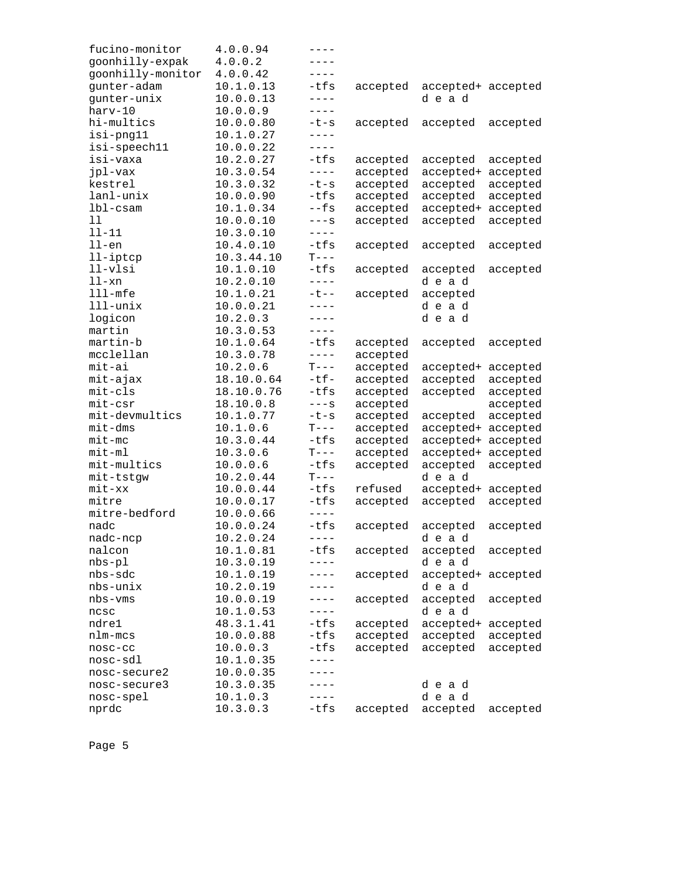| fucino-monitor    | 4.0.0.94   | ----                  |          |                    |          |
|-------------------|------------|-----------------------|----------|--------------------|----------|
| goonhilly-expak   | 4.0.0.2    | - - - -               |          |                    |          |
| goonhilly-monitor | 4.0.0.42   | $- - - -$             |          |                    |          |
| gunter-adam       | 10.1.0.13  | $-tfs$                | accepted | accepted+ accepted |          |
| gunter-unix       | 10.0.0.13  | $- - - -$             |          | dead               |          |
| harv-10           | 10.0.0.9   | $- - - -$             |          |                    |          |
| hi-multics        | 10.0.0.80  | -t-s                  | accepted | accepted           | accepted |
| isi-png11         | 10.1.0.27  | $---$                 |          |                    |          |
| isi-speech11      | 10.0.0.22  | $---$                 |          |                    |          |
| isi-vaxa          | 10.2.0.27  | -tfs                  | accepted | accepted           | accepted |
| jpl-vax           | 10.3.0.54  | $- - - -$             | accepted | accepted+          | accepted |
| kestrel           | 10.3.0.32  | $-t-s$                | accepted | accepted           | accepted |
| lanl-unix         | 10.0.0.90  | $-tfs$                | accepted | accepted           | accepted |
| lbl-csam          | 10.1.0.34  | $-$ fs                | accepted | accepted+          | accepted |
|                   |            |                       |          |                    |          |
| 11                | 10.0.0.10  | $---S$                | accepted | accepted           | accepted |
| $11 - 11$         | 10.3.0.10  | $---$                 |          |                    |          |
| $11$ -en          | 10.4.0.10  | $-tfs$                | accepted | accepted           | accepted |
| $11$ -iptcp       | 10.3.44.10 | $T---$                |          |                    |          |
| $11-v1si$         | 10.1.0.10  | $-tfs$                | accepted | accepted           | accepted |
| $11 - xn$         | 10.2.0.10  | $---$                 |          | dead               |          |
| $111$ -mfe        | 10.1.0.21  | $-t$ $-$              | accepted | accepted           |          |
| lll-unix          | 10.0.0.21  | $- - - -$             |          | dead               |          |
| logicon           | 10.2.0.3   | $- - - -$             |          | dead               |          |
| martin            | 10.3.0.53  | $- - - -$             |          |                    |          |
| martin-b          | 10.1.0.64  | $-tfs$                | accepted | accepted           | accepted |
| mcclellan         | 10.3.0.78  | $\qquad \qquad - - -$ | accepted |                    |          |
| mit-ai            | 10.2.0.6   | $T---$                | accepted | accepted+ accepted |          |
| mit-ajax          | 18.10.0.64 | $-tf-$                | accepted | accepted           | accepted |
| mit-cls           | 18.10.0.76 | $-tfs$                | accepted | accepted           | accepted |
| $mit-csr$         | 18.10.0.8  | $---S$                | accepted |                    | accepted |
| mit-devmultics    | 10.1.0.77  | $-t-s$                | accepted | accepted           | accepted |
| $mit$ -dms        | 10.1.0.6   | $T---$                | accepted | accepted+          | accepted |
| $mit-mc$          | 10.3.0.44  | $-tfs$                | accepted | accepted+          | accepted |
| $mit-m1$          | 10.3.0.6   | $T---$                | accepted | accepted+          | accepted |
| mit-multics       | 10.0.0.6   | -tfs                  | accepted | accepted           | accepted |
| mit-tstgw         | 10.2.0.44  | $T---$                |          | dead               |          |
| $mit$ - $xx$      |            | $-tfs$                |          |                    |          |
|                   | 10.0.0.44  |                       | refused  | accepted+ accepted |          |
| mitre             | 10.0.0.17  | -tfs                  | accepted | accepted           | accepted |
| mitre-bedford     | 10.0.0.66  | $- - - -$             |          |                    |          |
| nadc              | 10.0.0.24  | $-tfs$                | accepted | accepted           | accepted |
| nadc-ncp          | 10.2.0.24  |                       |          | dead               |          |
| nalcon            | 10.1.0.81  | -tfs                  | accepted | accepted           | accepted |
| $nbs-p1$          | 10.3.0.19  | $---$                 |          | dead               |          |
| nbs-sdc           | 10.1.0.19  |                       | accepted | accepted+ accepted |          |
| nbs-unix          | 10.2.0.19  |                       |          | dead               |          |
| nbs-vms           | 10.0.0.19  | - - - -               | accepted | accepted           | accepted |
| ncsc              | 10.1.0.53  | ----                  |          | dead               |          |
| ndre1             | 48.3.1.41  | -tfs                  | accepted | accepted+ accepted |          |
| nlm-mcs           | 10.0.0.88  | -tfs                  | accepted | accepted           | accepted |
| nosc-cc           | 10.0.0.3   | -tfs                  | accepted | accepted           | accepted |
| nosc-sdl          | 10.1.0.35  | ----                  |          |                    |          |
| nosc-secure2      | 10.0.0.35  | ----                  |          |                    |          |
| nosc-secure3      | 10.3.0.35  | ----                  |          | dead               |          |
| nosc-spel         | 10.1.0.3   | ----                  |          | dead               |          |
| nprdc             | 10.3.0.3   | -tfs                  | accepted | accepted           | accepted |
|                   |            |                       |          |                    |          |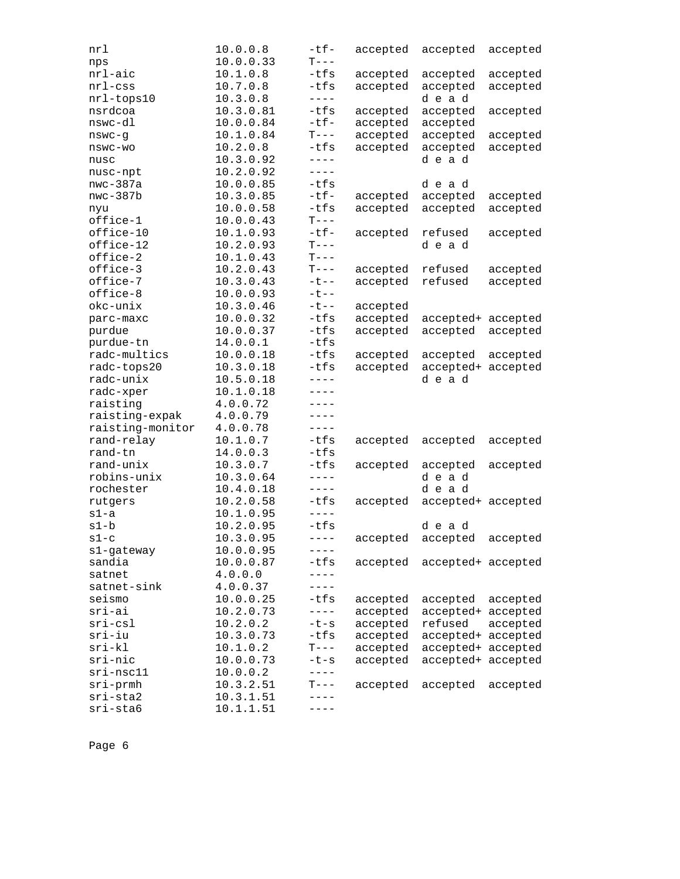| nrl              | 10.0.0.8  | $-tf-$    | accepted | accepted           | accepted |
|------------------|-----------|-----------|----------|--------------------|----------|
| nps              | 10.0.0.33 | $T---$    |          |                    |          |
| nrl-aic          | 10.1.0.8  | -tfs      | accepted | accepted           | accepted |
| $nrl$ -css       | 10.7.0.8  | $-tfs$    | accepted | accepted           | accepted |
| nrl-tops10       | 10.3.0.8  | $---$     |          | dead               |          |
| nsrdcoa          | 10.3.0.81 | -tfs      | accepted | accepted           | accepted |
| nswc-dl          | 10.0.0.84 | $-tf-$    | accepted | accepted           |          |
| nswc-g           | 10.1.0.84 | $T---$    | accepted | accepted           | accepted |
| nswc-wo          | 10.2.0.8  | -tfs      | accepted | accepted           | accepted |
| nusc             | 10.3.0.92 | $---$     |          | dead               |          |
| nusc-npt         | 10.2.0.92 | $---$     |          |                    |          |
| $nwc-387a$       | 10.0.0.85 | $-tfs$    |          | dead               |          |
| $nwc-387b$       | 10.3.0.85 | $-tf-$    | accepted | accepted           | accepted |
| nyu              | 10.0.0.58 | $-tfs$    | accepted | accepted           | accepted |
| office-1         | 10.0.0.43 | $T---$    |          |                    |          |
| office-10        | 10.1.0.93 | $-tf-$    | accepted | refused            | accepted |
| office-12        | 10.2.0.93 | $T---$    |          | dead               |          |
| office-2         | 10.1.0.43 | $T---$    |          |                    |          |
| office-3         | 10.2.0.43 | $T---$    | accepted | refused            | accepted |
| office-7         | 10.3.0.43 | $-t$ --   | accepted | refused            | accepted |
| office-8         | 10.0.0.93 | $-t$ --   |          |                    |          |
| okc-unix         | 10.3.0.46 | $-t$ --   | accepted |                    |          |
| parc-maxc        | 10.0.0.32 | -tfs      | accepted | accepted+ accepted |          |
| purdue           | 10.0.0.37 | -tfs      | accepted | accepted           | accepted |
| purdue-tn        | 14.0.0.1  | $-tfs$    |          |                    |          |
| radc-multics     | 10.0.0.18 | -tfs      | accepted | accepted           | accepted |
| radc-tops20      | 10.3.0.18 | $-tfs$    | accepted | accepted+          | accepted |
| radc-unix        | 10.5.0.18 | $---$     |          | dead               |          |
| radc-xper        | 10.1.0.18 | $---$     |          |                    |          |
| raisting         | 4.0.0.72  | ----      |          |                    |          |
| raisting-expak   | 4.0.0.79  | $- - - -$ |          |                    |          |
| raisting-monitor | 4.0.0.78  | $---$     |          |                    |          |
| rand-relay       | 10.1.0.7  | -tfs      | accepted | accepted           | accepted |
| rand-tn          | 14.0.0.3  | $-tfs$    |          |                    |          |
| rand-unix        | 10.3.0.7  | -tfs      | accepted | accepted           | accepted |
| robins-unix      | 10.3.0.64 | $---$     |          | dead               |          |
| rochester        | 10.4.0.18 | $- - - -$ |          | dead               |          |
| rutgers          | 10.2.0.58 | $-tfs$    | accepted | accepted+ accepted |          |
| s1-a             | 10.1.0.95 | $---$     |          |                    |          |
| $s1-b$           | 10.2.0.95 | $-tfs$    |          | dead               |          |
| $s1-c$           | 10.3.0.95 | $---$     | accepted | accepted           | accepted |
| s1-gateway       | 10.0.0.95 | $- - - -$ |          |                    |          |
| sandia           | 10.0.0.87 | $-tfs$    | accepted | accepted+ accepted |          |
| satnet           | 4.0.0.0   | $---$     |          |                    |          |
| satnet-sink      | 4.0.0.37  | ----      |          |                    |          |
| seismo           | 10.0.0.25 | $-tfs$    | accepted | accepted           | accepted |
| sri-ai           | 10.2.0.73 | $---$     | accepted | accepted+          | accepted |
| $sri-csl$        | 10.2.0.2  | $-t-s$    | accepted | refused            | accepted |
| sri-iu           | 10.3.0.73 | $-tfs$    | accepted | accepted+ accepted |          |
| $sri-kl$         | 10.1.0.2  | $T---$    | accepted | accepted+ accepted |          |
| sri-nic          | 10.0.0.73 | $-t-s$    | accepted | accepted+ accepted |          |
| sri-nsc11        | 10.0.0.2  | $---$     |          |                    |          |
| $sri$ -prmh      | 10.3.2.51 | $T---$    | accepted | accepted           | accepted |
| sri-sta2         | 10.3.1.51 |           |          |                    |          |
| sri-sta6         | 10.1.1.51 |           |          |                    |          |
|                  |           |           |          |                    |          |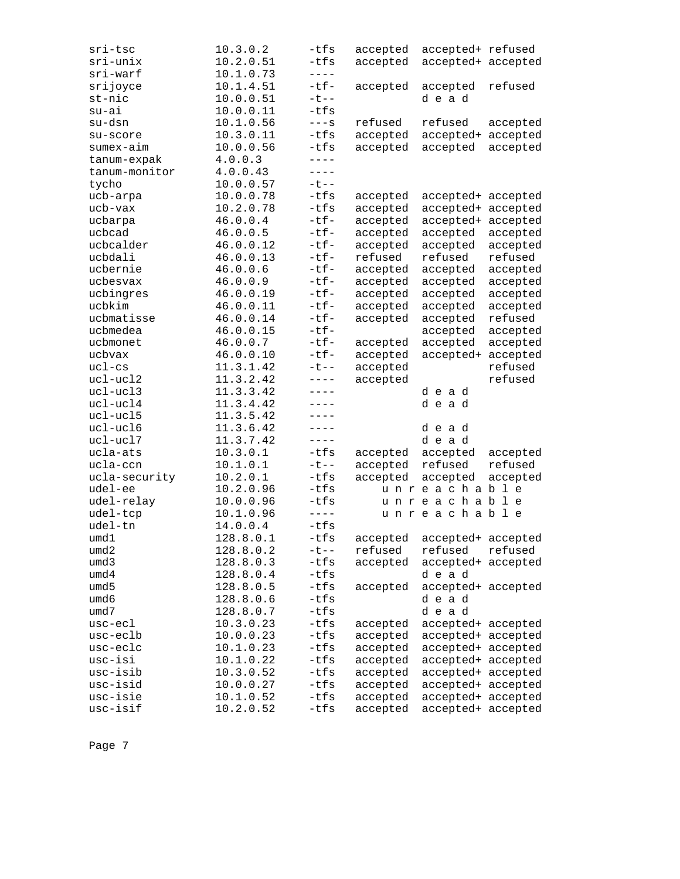| sri-tsc              | 10.3.0.2               | $-tfs$                | accepted             | accepted+ refused                        |          |
|----------------------|------------------------|-----------------------|----------------------|------------------------------------------|----------|
| sri-unix             | 10.2.0.51              | -tfs                  | accepted             | accepted+ accepted                       |          |
| sri-warf             | 10.1.0.73              | $- - - -$             |                      |                                          |          |
| srijoyce             | 10.1.4.51              | $-tf-$                | accepted             | accepted                                 | refused  |
| st-nic               | 10.0.0.51              | $-t$ $-$              |                      | dead                                     |          |
| $su-ai$              | 10.0.0.11              | $-tfs$                |                      |                                          |          |
| su-dsn               | 10.1.0.56              | $---S$                | refused              | refused                                  | accepted |
| su-score             | 10.3.0.11              | -tfs                  | accepted             | accepted+                                | accepted |
| sumex-aim            | 10.0.0.56              | $-tfs$                | accepted             | accepted                                 | accepted |
| tanum-expak          | 4.0.0.3                | $---$                 |                      |                                          |          |
| tanum-monitor        | 4.0.0.43               | $---$                 |                      |                                          |          |
| tycho                | 10.0.0.57              | $-t$ --               |                      |                                          |          |
| ucb-arpa             | 10.0.0.78              | -tfs                  | accepted             | accepted+ accepted                       |          |
| ucb-vax              | 10.2.0.78              | -tfs                  | accepted             | accepted+ accepted                       |          |
| ucbarpa              | 46.0.0.4               | $-tf-$                | accepted             | accepted+                                | accepted |
| ucbcad               | 46.0.0.5               | $-tf-$                | accepted             | accepted                                 | accepted |
| ucbcalder            | 46.0.0.12              | $-tf-$                | accepted             | accepted                                 | accepted |
| ucbdali              | 46.0.0.13              | $-tf-$                | refused              | refused                                  | refused  |
| ucbernie             | 46.0.0.6               | $-tf-$                | accepted             | accepted                                 | accepted |
| ucbesvax             | 46.0.0.9               | $-tf-$                | accepted             | accepted                                 | accepted |
| ucbingres            | 46.0.0.19              | $-tf-$                | accepted             | accepted                                 | accepted |
| ucbkim               | 46.0.0.11              | $-tf-$                | accepted             | accepted                                 | accepted |
| ucbmatisse           | 46.0.0.14              | $-tf-$                | accepted             | accepted                                 | refused  |
| ucbmedea             | 46.0.0.15              | $-tf-$                |                      | accepted                                 | accepted |
| ucbmonet             | 46.0.0.7               | $-tf-$                | accepted             | accepted                                 | accepted |
| ucbvax               | 46.0.0.10              | $-tf-$                | accepted             | accepted+                                | accepted |
| $uc1-cs$             | 11.3.1.42              | $-t$ $-$              | accepted             |                                          | refused  |
| ucl-ucl2             | 11.3.2.42              | $\qquad \qquad - - -$ | accepted             |                                          | refused  |
| ucl-ucl3             | 11.3.3.42              | $---$                 |                      | dead                                     |          |
| ucl-ucl4             | 11.3.4.42              | $---$                 |                      | dead                                     |          |
| ucl-ucl5             | 11.3.5.42              | $---$                 |                      |                                          |          |
| ucl-ucl6             | 11.3.6.42              | $---$                 |                      | dead                                     |          |
| ucl-ucl7             | 11.3.7.42              | $---$                 |                      | dead                                     |          |
| ucla-ats             | 10.3.0.1               | $-tfs$                | accepted             | accepted                                 | accepted |
| ucla-ccn             | 10.1.0.1               | $-t$ $-$              | accepted             | refused                                  | refused  |
| ucla-security        | 10.2.0.1               | -tfs                  | accepted             | accepted                                 | accepted |
| udel-ee              | 10.2.0.96              | -tfs                  |                      | unreachable                              |          |
| udel-relay           | 10.0.0.96              | $-tfs$                |                      | unreachable                              |          |
| udel-tcp             | 10.1.0.96              | $---$                 |                      | unreachable                              |          |
| udel-tn              | 14.0.0.4               | $-tfs$                |                      |                                          |          |
| umd1                 | 128.8.0.1              | -tfs                  | accepted             | accepted+ accepted                       |          |
|                      |                        | $-t$ --               |                      |                                          |          |
| umd2                 | 128.8.0.2              |                       | refused              | refused                                  | refused  |
| umd3                 | 128.8.0.3<br>128.8.0.4 | -tfs<br>-tfs          | accepted             | accepted+ accepted                       |          |
| umd4                 |                        |                       |                      |                                          |          |
| umd5                 |                        |                       |                      | dead                                     |          |
| umd6                 | 128.8.0.5              | -tfs                  | accepted             | accepted+ accepted                       |          |
|                      | 128.8.0.6              | -tfs                  |                      | dead                                     |          |
| umd7                 | 128.8.0.7              | -tfs                  |                      | dead                                     |          |
| usc-ecl              | 10.3.0.23              | -tfs                  | accepted             | accepted+ accepted                       |          |
| usc-eclb             | 10.0.0.23              | -tfs                  | accepted             | accepted+ accepted                       |          |
| usc-eclc             | 10.1.0.23              | -tfs                  | accepted             | accepted+ accepted                       |          |
| usc-isi              | 10.1.0.22              | -tfs                  | accepted             | accepted+ accepted                       |          |
| usc-isib             | 10.3.0.52              | $-tfs$                | accepted             | accepted+ accepted                       |          |
| usc-isid             | 10.0.0.27              | -tfs                  | accepted             | accepted+ accepted                       |          |
| usc-isie<br>usc-isif | 10.1.0.52<br>10.2.0.52 | -tfs<br>-tfs          | accepted<br>accepted | accepted+ accepted<br>accepted+ accepted |          |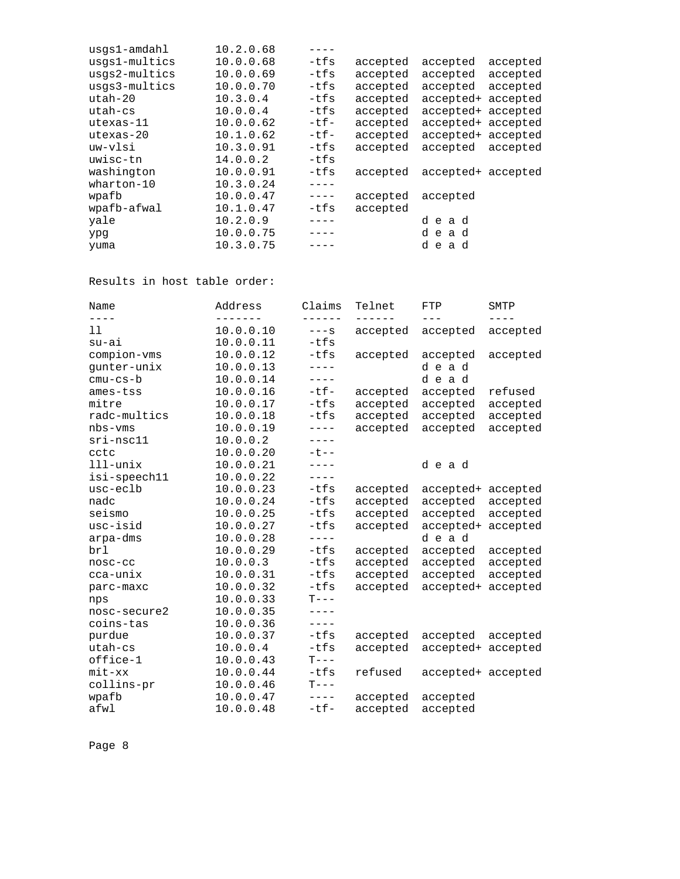| usgs1-amdahl  | 10.2.0.68 |           |          |                    |          |
|---------------|-----------|-----------|----------|--------------------|----------|
| usgs1-multics | 10.0.0.68 | -tfs      | accepted | accepted           | accepted |
| usgs2-multics | 10.0.0.69 | -tfs      | accepted | accepted           | accepted |
| usgs3-multics | 10.0.0.70 | -tfs      | accepted | accepted           | accepted |
| $utha-h-20$   | 10.3.0.4  | -tfs      | accepted | accepted+ accepted |          |
| $uth - cs$    | 10.0.0.4  | -tfs      | accepted | accepted+ accepted |          |
| $utesas-11$   | 10.0.0.62 | $-tf-$    | accepted | accepted+ accepted |          |
| utexas-20     | 10.1.0.62 | $-tf-$    | accepted | accepted+ accepted |          |
| uw-vlsi       | 10.3.0.91 | -tfs      | accepted | accepted           | accepted |
| uwisc-tn      | 14.0.0.2  | $-tfs$    |          |                    |          |
| washington    | 10.0.0.91 | -tfs      | accepted | accepted+ accepted |          |
| wharton-10    | 10.3.0.24 |           |          |                    |          |
| wpafb         | 10.0.0.47 | $- - - -$ | accepted | accepted           |          |
| wpafb-afwal   | 10.1.0.47 | -tfs      | accepted |                    |          |
| yale          | 10.2.0.9  |           |          | dead               |          |
| ypg           | 10.0.0.75 |           |          | dead               |          |
| yuma          | 10.3.0.75 |           |          | dead               |          |
|               |           |           |          |                    |          |

Results in host table order:

| Name         | Address   | Claims        | Telnet   | FTP                | SMTP     |
|--------------|-----------|---------------|----------|--------------------|----------|
| $- - - -$    | -------   | $- - - - - -$ |          | $---$              | ----     |
| 11           | 10.0.0.10 | $---S$        | accepted | accepted           | accepted |
| $su-ai$      | 10.0.0.11 | $-tfs$        |          |                    |          |
| compion-vms  | 10.0.0.12 | $-tfs$        | accepted | accepted           | accepted |
| gunter-unix  | 10.0.0.13 | $- - - -$     |          | dead               |          |
| $cmu-cs-b$   | 10.0.0.14 | $- - - - -$   |          | dead               |          |
| ames-tss     | 10.0.0.16 | $-tf-$        | accepted | accepted           | refused  |
| mitre        | 10.0.0.17 | $-tfs$        | accepted | accepted           | accepted |
| radc-multics | 10.0.0.18 | $-tfs$        | accepted | accepted           | accepted |
| $nbs-vms$    | 10.0.0.19 | $---$         | accepted | accepted           | accepted |
| $sri-nsc11$  | 10.0.0.2  | $---$         |          |                    |          |
| cctc         | 10.0.0.20 | $-t$ $-$      |          |                    |          |
| $111$ -unix  | 10.0.0.21 | $- - - -$     |          | dead               |          |
| isi-speech11 | 10.0.0.22 | $- - - -$     |          |                    |          |
| usc-eclb     | 10.0.0.23 | $-tfs$        | accepted | accepted+ accepted |          |
| nadc         | 10.0.0.24 | $-tfs$        | accepted | accepted           | accepted |
| seismo       | 10.0.0.25 | $-tfs$        | accepted | accepted           | accepted |
| usc-isid     | 10.0.0.27 | $-tfs$        | accepted | accepted+          | accepted |
| arpa-dms     | 10.0.0.28 | ----          |          | dead               |          |
| brl          | 10.0.0.29 | $-tfs$        | accepted | accepted           | accepted |
| $nosc-cc$    | 10.0.0.3  | $-tfs$        | accepted | accepted           | accepted |
| cca-unix     | 10.0.0.31 | $-tfs$        | accepted | accepted           | accepted |
| parc-maxc    | 10.0.0.32 | $-tfs$        | accepted | accepted+          | accepted |
| nps          | 10.0.0.33 | $T--$         |          |                    |          |
| nosc-secure2 | 10.0.0.35 | $- - - -$     |          |                    |          |
| coins-tas    | 10.0.0.36 | $- - - - -$   |          |                    |          |
| purdue       | 10.0.0.37 | $-tfs$        | accepted | accepted           | accepted |
| utah-cs      | 10.0.0.4  | $-tfs$        | accepted | accepted+ accepted |          |
| office-1     | 10.0.0.43 | $T---$        |          |                    |          |
| $mit - xx$   | 10.0.0.44 | $-tfs$        | refused  | accepted+ accepted |          |
| collins-pr   | 10.0.0.46 | $T---$        |          |                    |          |
| wpafb        | 10.0.0.47 | $- - - - -$   | accepted | accepted           |          |
| afwl         | 10.0.0.48 | $-tf-$        | accepted | accepted           |          |
|              |           |               |          |                    |          |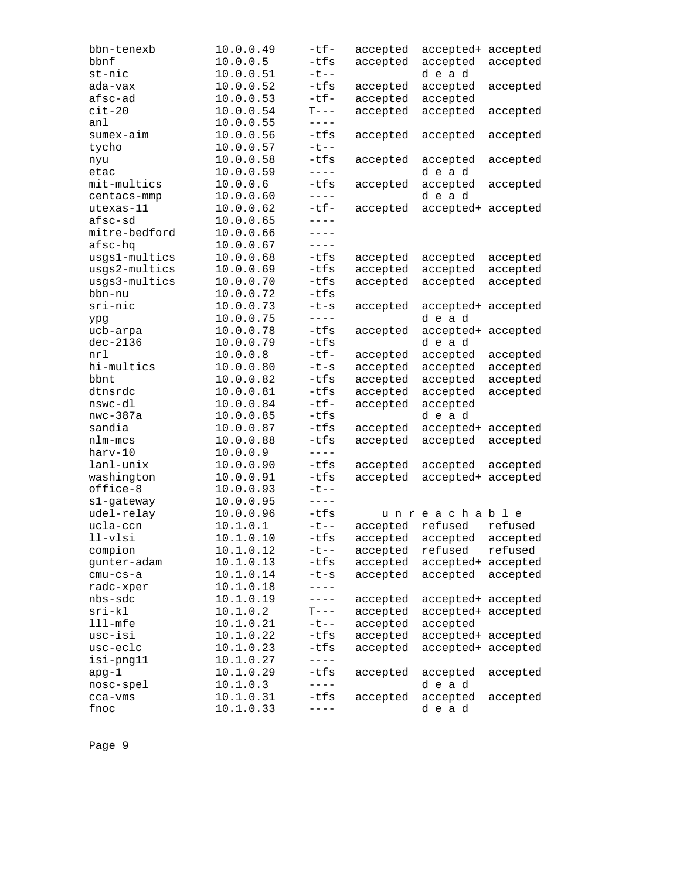| bbn-tenexb    | 10.0.0.49 | $-tf-$     | accepted | accepted+ accepted |          |
|---------------|-----------|------------|----------|--------------------|----------|
| bbnf          | 10.0.0.5  | $-tfs$     | accepted | accepted           | accepted |
| st-nic        | 10.0.0.51 | $-t$ - -   |          | dead               |          |
| ada-vax       | 10.0.0.52 | -tfs       | accepted | accepted           | accepted |
| afsc-ad       | 10.0.0.53 | $-tf-$     | accepted | accepted           |          |
| $cit-20$      | 10.0.0.54 | $T---$     | accepted | accepted           | accepted |
| anl           | 10.0.0.55 | $- - - -$  |          |                    |          |
| sumex-aim     | 10.0.0.56 | $-tfs$     | accepted | accepted           | accepted |
| tycho         | 10.0.0.57 | $-t$ - -   |          |                    |          |
| nyu           | 10.0.0.58 | $-tfs$     | accepted | accepted           | accepted |
| etac          | 10.0.0.59 | $- - - -$  |          | dead               |          |
| mit-multics   | 10.0.0.6  | $-tfs$     | accepted | accepted           | accepted |
| centacs-mmp   | 10.0.0.60 | $- - - -$  |          | dead               |          |
| utexas-11     | 10.0.0.62 | $-tf-$     | accepted | accepted+ accepted |          |
| afsc-sd       | 10.0.0.65 | $- - - -$  |          |                    |          |
| mitre-bedford | 10.0.0.66 | $---$      |          |                    |          |
| afsc-hq       | 10.0.0.67 | $- - - -$  |          |                    |          |
| usgs1-multics | 10.0.0.68 | -tfs       | accepted | accepted           | accepted |
| usgs2-multics | 10.0.0.69 | -tfs       | accepted | accepted           | accepted |
| usgs3-multics | 10.0.0.70 | $-tfs$     | accepted | accepted           | accepted |
| bbn-nu        | 10.0.0.72 | $-tfs$     |          |                    |          |
| sri-nic       | 10.0.0.73 | $-t-s$     | accepted | accepted+ accepted |          |
| ypg           | 10.0.0.75 | $- - - -$  |          | dead               |          |
| ucb-arpa      | 10.0.0.78 | $-tfs$     | accepted | accepted+ accepted |          |
| $dec-2136$    | 10.0.0.79 | -tfs       |          | dead               |          |
| nrl           | 10.0.0.8  | $-tf-$     | accepted | accepted           | accepted |
| hi-multics    | 10.0.0.80 | $-t-s$     | accepted | accepted           | accepted |
| bbnt          | 10.0.0.82 | -tfs       | accepted | accepted           | accepted |
| dtnsrdc       | 10.0.0.81 | -tfs       | accepted | accepted           | accepted |
| nswc-dl       | 10.0.0.84 | $-tf-$     | accepted | accepted           |          |
| $nwc-387a$    | 10.0.0.85 | -tfs       |          | dead               |          |
| sandia        | 10.0.0.87 | -tfs       | accepted | accepted+          | accepted |
| nlm-mcs       | 10.0.0.88 | $-tfs$     | accepted | accepted           | accepted |
| harv-10       | 10.0.0.9  | $- - - -$  |          |                    |          |
| lanl-unix     | 10.0.0.90 | -tfs       | accepted | accepted           | accepted |
| washington    | 10.0.0.91 | $-tfs$     | accepted | accepted+ accepted |          |
| office-8      | 10.0.0.93 | $-t$ $-$   |          |                    |          |
| s1-gateway    | 10.0.0.95 | $- - - -$  |          |                    |          |
| udel-relay    | 10.0.0.96 | $-tfs$     |          | unreachable        |          |
| ucla-ccn      | 10.1.0.1  | $-t$ - $-$ | accepted | refused            | refused  |
| $11-v$ lsi    | 10.1.0.10 | $-tfs$     | accepted | accepted           | accepted |
| compion       | 10.1.0.12 | $-t$ $-$   | accepted | refused            | refused  |
| gunter-adam   | 10.1.0.13 | $-tfs$     | accepted | accepted+ accepted |          |
| $cmu-cs-a$    | 10.1.0.14 | $-t-s$     | accepted | accepted           | accepted |
| radc-xper     | 10.1.0.18 | ----       |          |                    |          |
| nbs-sdc       | 10.1.0.19 | ----       | accepted | accepted+ accepted |          |
| $sri-kl$      | 10.1.0.2  | $T---$     | accepted | accepted+ accepted |          |
| $lll$ -mfe    | 10.1.0.21 | $-t$ --    | accepted | accepted           |          |
| usc-isi       | 10.1.0.22 | -tfs       | accepted | accepted+ accepted |          |
| usc-eclc      | 10.1.0.23 | $-tfs$     | accepted | accepted+ accepted |          |
| isi-png11     | 10.1.0.27 | $---$      |          |                    |          |
| apg-1         | 10.1.0.29 | $-tfs$     | accepted | accepted           | accepted |
| nosc-spel     | 10.1.0.3  | $- - - -$  |          | dead               |          |
| cca-vms       | 10.1.0.31 | $-tfs$     | accepted | accepted           | accepted |
| fnoc          | 10.1.0.33 |            |          | dead               |          |
|               |           |            |          |                    |          |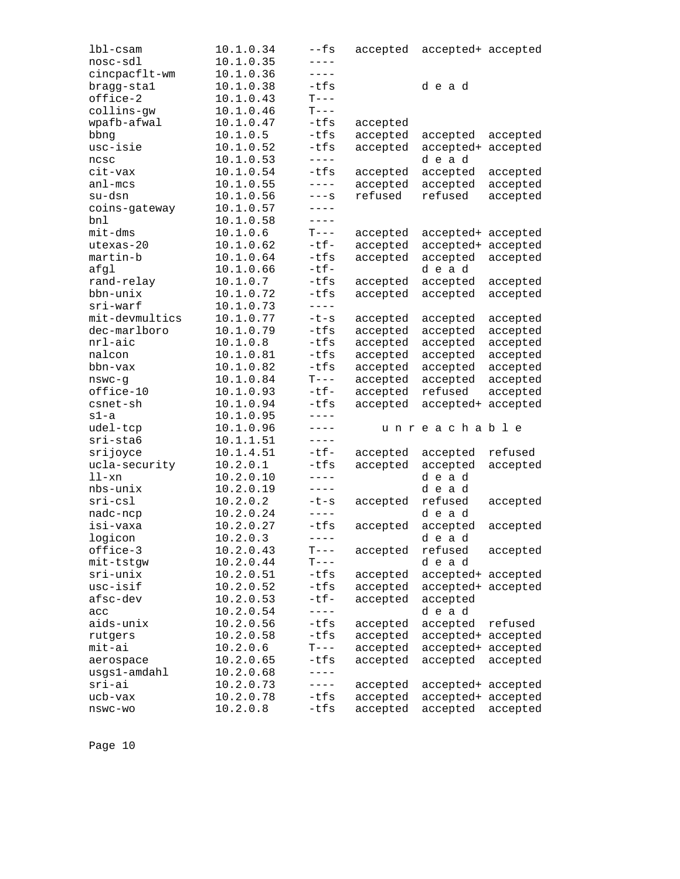| lbl-csam             | 10.1.0.34              | --fs              | accepted             | accepted+ accepted  |                      |
|----------------------|------------------------|-------------------|----------------------|---------------------|----------------------|
| nosc-sdl             | 10.1.0.35              | $- - - -$         |                      |                     |                      |
| cincpacflt-wm        | 10.1.0.36              | ----              |                      |                     |                      |
| bragg-stal           | 10.1.0.38              | $-tfs$            |                      | dead                |                      |
| office-2             | 10.1.0.43              | $\mathcal{T}---$  |                      |                     |                      |
| collins-gw           | 10.1.0.46              | $T---$            |                      |                     |                      |
| wpafb-afwal          | 10.1.0.47              | -tfs              | accepted             |                     |                      |
| bbng                 | 10.1.0.5               | $-tfs$            | accepted             | accepted            | accepted             |
| usc-isie             | 10.1.0.52              | $-tfs$            | accepted             | accepted+           | accepted             |
| ncsc                 | 10.1.0.53              | $- - - -$         |                      | dead                |                      |
| cit-vax              | 10.1.0.54              | $-tfs$            | accepted             | accepted            | accepted             |
| $an1 - mcs$          | 10.1.0.55              | $- - - -$         | accepted             | accepted            | accepted             |
| su-dsn               | 10.1.0.56              | $---S$            | refused              | refused             | accepted             |
| coins-gateway        | 10.1.0.57              | $-- - -$          |                      |                     |                      |
| bnl                  | 10.1.0.58              | $---$             |                      |                     |                      |
| $mit$ -dms           | 10.1.0.6               | $T---$            | accepted             | accepted+ accepted  |                      |
| utexas-20            | 10.1.0.62              | $-tf-$            | accepted             | accepted+           | accepted             |
| martin-b             | 10.1.0.64              | $-tfs$            | accepted             | accepted            | accepted             |
| afgl                 | 10.1.0.66              | $-tf-$            |                      | dead                |                      |
| rand-relay           | 10.1.0.7               | -tfs              | accepted             | accepted            | accepted             |
| bbn-unix             | 10.1.0.72              | $-tfs$            | accepted             | accepted            | accepted             |
| $sri$ -warf          | 10.1.0.73              | $---$             |                      |                     |                      |
| mit-devmultics       | 10.1.0.77              | $-t-s$            | accepted             | accepted            | accepted             |
| dec-marlboro         | 10.1.0.79              | -tfs              | accepted             | accepted            | accepted             |
| nrl-aic              | 10.1.0.8               | -tfs              | accepted             | accepted            | accepted             |
| nalcon               | 10.1.0.81              | -tfs              | accepted             | accepted            | accepted             |
| bbn-vax              | 10.1.0.82              | $-tfs$            | accepted             | accepted            | accepted             |
|                      |                        | $T---$            |                      |                     |                      |
| nswc-g<br>office-10  | 10.1.0.84<br>10.1.0.93 | $-tf-$            | accepted<br>accepted | accepted<br>refused | accepted<br>accepted |
| csnet-sh             |                        | $-tfs$            |                      |                     |                      |
| $s1-a$               | 10.1.0.94              | $---$             | accepted             | accepted+           | accepted             |
|                      | 10.1.0.95              | $---$             |                      | unreachable         |                      |
| udel-tcp<br>sri-sta6 | 10.1.0.96              | $---$             |                      |                     |                      |
|                      | 10.1.1.51              | $-tf-$            |                      |                     |                      |
| srijoyce             | 10.1.4.51              |                   | accepted             | accepted            | refused              |
| ucla-security        | 10.2.0.1               | -tfs<br>$- - - -$ | accepted             | accepted            | accepted             |
| $11-xn$              | 10.2.0.10              |                   |                      | dead                |                      |
| nbs-unix             | 10.2.0.19              | $- - - -$         |                      | dead                |                      |
| $sri-csl$            | 10.2.0.2               | $-t-s$            | accepted             | refused             | accepted             |
| nadc-ncp             | 10.2.0.24              | $- - - -$         |                      | dead                |                      |
| isi-vaxa             | 10.2.0.27              | -tfs              | accepted             | accepted            | accepted             |
| logicon              | 10.2.0.3               | $---$             |                      | dead                |                      |
| office-3             | 10.2.0.43              | $T---$            | accepted             | refused             | accepted             |
| mit-tstgw            | 10.2.0.44              | $T---$            |                      | dead                |                      |
| sri-unix             | 10.2.0.51              | -tfs              | accepted             | accepted+ accepted  |                      |
| usc-isif             | 10.2.0.52              | $-tfs$            | accepted             | accepted+ accepted  |                      |
| afsc-dev             | 10.2.0.53              | -tf-              | accepted             | accepted            |                      |
| acc                  | 10.2.0.54              | $- - - -$         |                      | dead                |                      |
| aids-unix            | 10.2.0.56              | -tfs              | accepted             | accepted            | refused              |
| rutgers              | 10.2.0.58              | $-tfs$            | accepted             | accepted+ accepted  |                      |
| mit-ai               | 10.2.0.6               | $T---$            | accepted             | accepted+ accepted  |                      |
| aerospace            | 10.2.0.65              | -tfs              | accepted             | accepted            | accepted             |
| usgs1-amdahl         | 10.2.0.68              | $---$             |                      |                     |                      |
| sri-ai               | 10.2.0.73              | $- - - -$         | accepted             | accepted+ accepted  |                      |
| ucb-vax              | 10.2.0.78              | $-tfs$            | accepted             | accepted+ accepted  |                      |
| $nswc-wo$            | 10.2.0.8               | $-tfs$            | accepted             | accepted            | accepted             |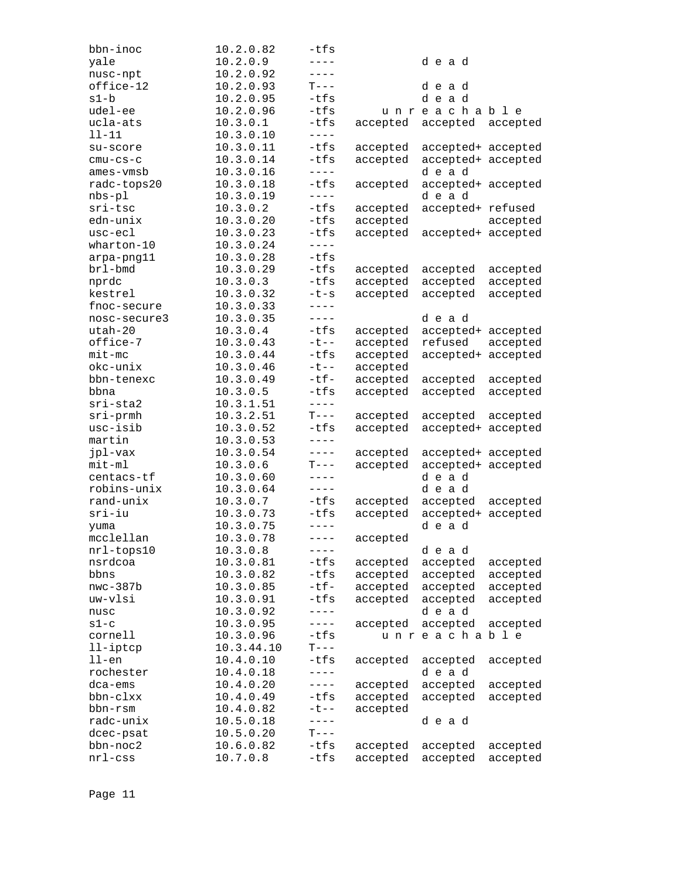| bbn-inoc     | 10.2.0.82  | $-tfs$            |          |                    |          |
|--------------|------------|-------------------|----------|--------------------|----------|
| yale         | 10.2.0.9   | $- - - -$         |          | dead               |          |
| nusc-npt     | 10.2.0.92  | $---$             |          |                    |          |
| office-12    | 10.2.0.93  | $T---$            |          | dead               |          |
| s1-b         | 10.2.0.95  | $-tfs$            |          | dead               |          |
| udel-ee      | 10.2.0.96  | $-tfs$            |          | unreachable        |          |
| ucla-ats     | 10.3.0.1   | $-tfs$            | accepted | accepted           | accepted |
| 11-11        | 10.3.0.10  | $---$             |          |                    |          |
|              | 10.3.0.11  | $-tfs$            |          |                    |          |
| su-score     |            |                   | accepted | accepted+ accepted |          |
| $cmu-cs-c$   | 10.3.0.14  | -tfs<br>$- - - -$ | accepted | accepted+ accepted |          |
| ames-vmsb    | 10.3.0.16  |                   |          | dead               |          |
| radc-tops20  | 10.3.0.18  | $-tfs$            | accepted | accepted+ accepted |          |
| $nbs-p1$     | 10.3.0.19  | $---$             |          | dead               |          |
| sri-tsc      | 10.3.0.2   | $-tfs$            | accepted | accepted+ refused  |          |
| edn-unix     | 10.3.0.20  | $-tfs$            | accepted |                    | accepted |
| usc-ecl      | 10.3.0.23  | -tfs              | accepted | accepted+ accepted |          |
| $whatton-10$ | 10.3.0.24  | $- - - -$         |          |                    |          |
| arpa-png11   | 10.3.0.28  | $-tfs$            |          |                    |          |
| brl-bmd      | 10.3.0.29  | $-tfs$            | accepted | accepted           | accepted |
| nprdc        | 10.3.0.3   | $-tfs$            | accepted | accepted           | accepted |
| kestrel      | 10.3.0.32  | $-t-s$            | accepted | accepted           | accepted |
| fnoc-secure  | 10.3.0.33  | $---$             |          |                    |          |
| nosc-secure3 | 10.3.0.35  | $- - - -$         |          | dead               |          |
| utah-20      | 10.3.0.4   | $-tfs$            | accepted | accepted+ accepted |          |
| office-7     | 10.3.0.43  | $-t$ --           | accepted | refused            | accepted |
| $mit$ -mc    | 10.3.0.44  | $-tfs$            |          | accepted+          |          |
|              |            |                   | accepted |                    | accepted |
| okc-unix     | 10.3.0.46  | $-t$ --           | accepted |                    |          |
| bbn-tenexc   | 10.3.0.49  | $-tf-$            | accepted | accepted           | accepted |
| bbna         | 10.3.0.5   | $-tfs$            | accepted | accepted           | accepted |
| $sri-sta2$   | 10.3.1.51  | $---$             |          |                    |          |
| $sri$ -prmh  | 10.3.2.51  | $T---$            | accepted | accepted           | accepted |
| usc-isib     | 10.3.0.52  | $-tfs$            | accepted | accepted+ accepted |          |
| martin       | 10.3.0.53  | $---$             |          |                    |          |
| jpl-vax      | 10.3.0.54  | $---$             | accepted | accepted+ accepted |          |
| $mit-m1$     | 10.3.0.6   | $T---$            | accepted | accepted+ accepted |          |
| centacs-tf   | 10.3.0.60  | $- - - -$         |          | dead               |          |
| robins-unix  | 10.3.0.64  | $- - - -$         |          | dead               |          |
| rand-unix    | 10.3.0.7   | -tfs              | accepted | accepted           | accepted |
| $sri-iu$     | 10.3.0.73  | $-tfs$            | accepted | accepted+ accepted |          |
| yuma         | 10.3.0.75  | $---$             |          | dead               |          |
| mcclellan    | 10.3.0.78  | $- - - -$         | accepted |                    |          |
| nrl-tops10   | 10.3.0.8   | $- - - -$         |          | dead               |          |
| nsrdcoa      | 10.3.0.81  | $-tfs$            | accepted | accepted           | accepted |
| bbns         | 10.3.0.82  | -tfs              | accepted | accepted           | accepted |
|              |            | $-tf-$            |          |                    |          |
| $nwc-387b$   | 10.3.0.85  |                   | accepted | accepted           | accepted |
| uw-vlsi      | 10.3.0.91  | -tfs              | accepted | accepted           | accepted |
| nusc         | 10.3.0.92  | ----              |          | dead               |          |
| $s1-c$       | 10.3.0.95  | $---$             | accepted | accepted           | accepted |
| cornell      | 10.3.0.96  | $-tfs$            |          | unreachable        |          |
| $11$ -iptcp  | 10.3.44.10 | $T---$            |          |                    |          |
| $11$ -en     | 10.4.0.10  | -tfs              | accepted | accepted           | accepted |
| rochester    | 10.4.0.18  | $---$             |          | dead               |          |
| dca-ems      | 10.4.0.20  | $---$             | accepted | accepted           | accepted |
| bbn-clxx     | 10.4.0.49  | $-tfs$            | accepted | accepted           | accepted |
| bbn-rsm      | 10.4.0.82  | $-t$ $-$          | accepted |                    |          |
| radc-unix    | 10.5.0.18  | $- - - -$         |          | dead               |          |
| dcec-psat    | 10.5.0.20  | $T---$            |          |                    |          |
| bbn-noc2     | 10.6.0.82  | -tfs              | accepted | accepted           | accepted |
| $nrl$ -css   | 10.7.0.8   | -tfs              | accepted | accepted           | accepted |
|              |            |                   |          |                    |          |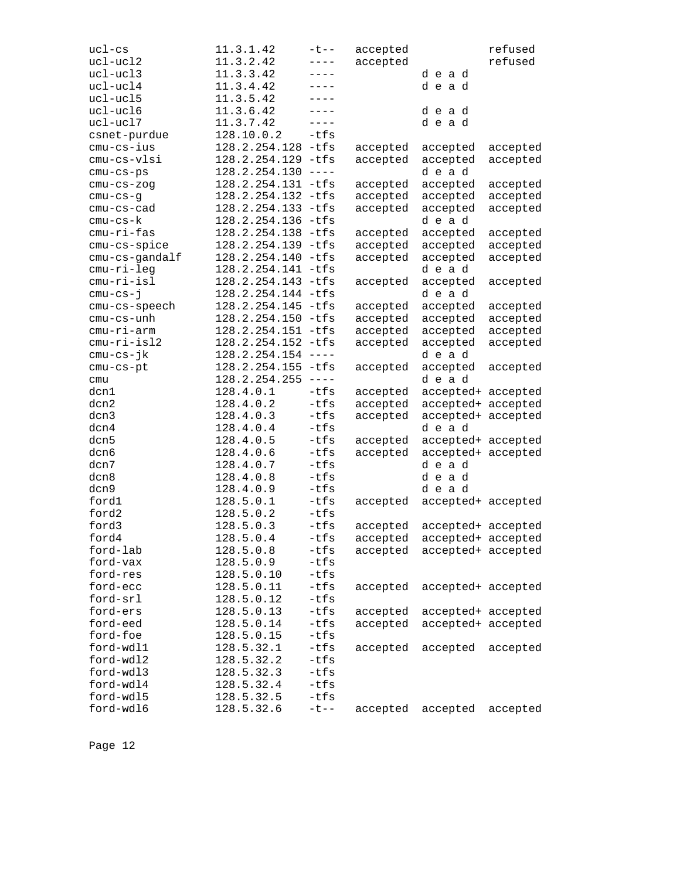| ucl-cs         | 11.3.1.42            | $-t$ --                 | accepted |                    | refused  |
|----------------|----------------------|-------------------------|----------|--------------------|----------|
| $uc1 - ucl2$   | 11.3.2.42            | $---$                   | accepted |                    | refused  |
| ucl-ucl3       | 11.3.3.42            | $---$                   |          | dead               |          |
| ucl-ucl4       | 11.3.4.42            | $---$                   |          | dead               |          |
| ucl-ucl5       | 11.3.5.42            | $- - - -$               |          |                    |          |
| ucl-ucl6       | 11.3.6.42            | $- - - -$               |          | dead               |          |
| ucl-ucl7       | 11.3.7.42            | $---$                   |          | dead               |          |
| csnet-purdue   | 128.10.0.2           | $-tfs$                  |          |                    |          |
| cmu-cs-ius     | 128.2.254.128        | -tfs                    | accepted | accepted           | accepted |
| cmu-cs-vlsi    | 128.2.254.129 -tfs   |                         | accepted | accepted           | accepted |
| $cmu-cs-ps$    | $128.2.254.130$ ---- |                         |          | dead               |          |
| $cmu-cs-zog$   | 128.2.254.131 -tfs   |                         | accepted | accepted           | accepted |
| $cmu-cs-g$     | 128.2.254.132 -tfs   |                         | accepted | accepted           | accepted |
| cmu-cs-cad     | 128.2.254.133        | -tfs                    | accepted | accepted           | accepted |
| cmu-cs-k       | 128.2.254.136        | -tfs                    |          | dead               |          |
| cmu-ri-fas     | 128.2.254.138        | -tfs                    | accepted | accepted           | accepted |
| cmu-cs-spice   | 128.2.254.139 -tfs   |                         | accepted | accepted           | accepted |
| cmu-cs-gandalf | 128.2.254.140 -tfs   |                         | accepted | accepted           | accepted |
| cmu-ri-leg     | 128.2.254.141 -tfs   |                         |          | dead               |          |
| cmu-ri-isl     | 128.2.254.143 -tfs   |                         | accepted | accepted           | accepted |
| $cmu-cs-j$     | 128.2.254.144 -tfs   |                         |          | dead               |          |
| cmu-cs-speech  | 128.2.254.145        | -tfs                    | accepted | accepted           | accepted |
| cmu-cs-unh     | 128.2.254.150 -tfs   |                         | accepted | accepted           | accepted |
| cmu-ri-arm     | 128.2.254.151 -tfs   |                         | accepted | accepted           | accepted |
| cmu-ri-isl2    | 128.2.254.152 -tfs   |                         | accepted | accepted           | accepted |
| cmu-cs-jk      | 128.2.254.154        | $\qquad \qquad - - - -$ |          | dead               |          |
| cmu-cs-pt      | 128.2.254.155        | $-tfs$                  | accepted | accepted           | accepted |
| cmu            | 128.2.254.255        | $- - - - -$             |          | dead               |          |
| dcn1           | 128.4.0.1            | $-tfs$                  | accepted | accepted+ accepted |          |
| dcn2           | 128.4.0.2            | $-tfs$                  | accepted | accepted+ accepted |          |
| dcn3           | 128.4.0.3            | $-tfs$                  | accepted | accepted+ accepted |          |
| dcn4           | 128.4.0.4            | $-tfs$                  |          | dead               |          |
| dcn5           | 128.4.0.5            | $-tfs$                  | accepted | accepted+ accepted |          |
| dcn6           | 128.4.0.6            | -tfs                    | accepted | accepted+ accepted |          |
| dcn7           | 128.4.0.7            | $-tfs$                  |          | dead               |          |
| dcn8           | 128.4.0.8            | -tfs                    |          | dead               |          |
| dcn9           | 128.4.0.9            | $-tfs$                  |          | dead               |          |
| ford1          | 128.5.0.1            | $-tfs$                  | accepted | accepted+ accepted |          |
| ford2          | 128.5.0.2            | $-tfs$                  |          |                    |          |
| ford3          | 128.5.0.3            | $-tfs$                  | accepted | accepted+ accepted |          |
| ford4          | 128.5.0.4            | $-tfs$                  | accepted | accepted+ accepted |          |
| ford-lab       | 128.5.0.8            | $-tfs$                  | accepted | accepted+ accepted |          |
| ford-vax       | 128.5.0.9            | $-tfs$                  |          |                    |          |
| ford-res       | 128.5.0.10           | $-tfs$                  |          |                    |          |
| ford-ecc       | 128.5.0.11           | $-tfs$                  | accepted | accepted+ accepted |          |
| ford-srl       | 128.5.0.12           | $-tfs$                  |          |                    |          |
| ford-ers       | 128.5.0.13           | -tfs                    | accepted | accepted+ accepted |          |
| ford-eed       | 128.5.0.14           | -tfs                    | accepted | accepted+ accepted |          |
| ford-foe       | 128.5.0.15           | $-tfs$                  |          |                    |          |
| ford-wdl1      | 128.5.32.1           | $-tfs$                  | accepted | accepted           | accepted |
| ford-wdl2      | 128.5.32.2           | $-tfs$                  |          |                    |          |
| ford-wdl3      | 128.5.32.3           | -tfs                    |          |                    |          |
| ford-wdl4      | 128.5.32.4           | $-tfs$                  |          |                    |          |
| ford-wdl5      | 128.5.32.5           | $-tfs$                  |          |                    |          |
| ford-wdl6      | 128.5.32.6           | $-t$ $-$                | accepted | accepted           | accepted |
|                |                      |                         |          |                    |          |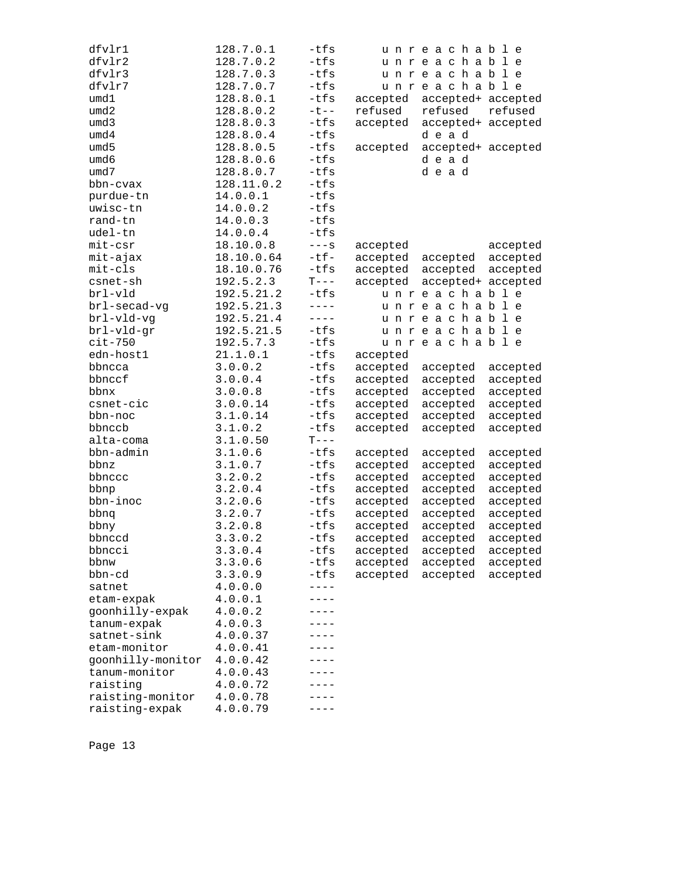| dfvlr1            | 128.7.0.1  | -tfs      |          | unreachable        |          |
|-------------------|------------|-----------|----------|--------------------|----------|
| dfvlr2            | 128.7.0.2  | $-tfs$    |          | unreachable        |          |
| dfvlr3            | 128.7.0.3  | $-tfs$    |          | unreachable        |          |
| dfvlr7            | 128.7.0.7  | -tfs      |          | unreachable        |          |
| umd1              | 128.8.0.1  | $-tfs$    | accepted | accepted+ accepted |          |
| umd2              | 128.8.0.2  | $-t$ --   | refused  | refused            | refused  |
| umd3              | 128.8.0.3  | -tfs      | accepted | accepted+ accepted |          |
| umd4              | 128.8.0.4  | $-tfs$    |          | dead               |          |
| umd5              | 128.8.0.5  | $-tfs$    | accepted | accepted+ accepted |          |
| umd6              | 128.8.0.6  | -tfs      |          | dead               |          |
| umd7              | 128.8.0.7  | $-tfs$    |          | dead               |          |
| bbn-cvax          | 128.11.0.2 | $-tfs$    |          |                    |          |
| purdue-tn         | 14.0.0.1   | $-tfs$    |          |                    |          |
| uwisc-tn          | 14.0.0.2   | $-tfs$    |          |                    |          |
| rand-tn           | 14.0.0.3   | $-tfs$    |          |                    |          |
| udel-tn           | 14.0.0.4   | $-tfs$    |          |                    |          |
| $mit-csr$         | 18.10.0.8  | $---S$    | accepted |                    | accepted |
| mit-ajax          | 18.10.0.64 | $-tf-$    | accepted | accepted           | accepted |
| $mit-cls$         | 18.10.0.76 | $-tfs$    | accepted | accepted           | accepted |
| csnet-sh          | 192.5.2.3  | $T---$    | accepted | accepted+ accepted |          |
| brl-vld           | 192.5.21.2 | $-tfs$    |          | unreachable        |          |
| brl-secad-vg      | 192.5.21.3 | $---$     |          | unreachable        |          |
| brl-vld-vg        | 192.5.21.4 | $- - - -$ |          | unreachable        |          |
| brl-vld-gr        | 192.5.21.5 | $-tfs$    |          | unreachable        |          |
| $cit-750$         | 192.5.7.3  | $-tfs$    |          | unreachable        |          |
| edn-host1         | 21.1.0.1   | $-tfs$    | accepted |                    |          |
| bbncca            | 3.0.0.2    | $-tfs$    | accepted | accepted           | accepted |
| bbnccf            | 3.0.0.4    | -tfs      | accepted | accepted           | accepted |
| bbnx              | 3.0.0.8    | $-tfs$    | accepted | accepted           | accepted |
| csnet-cic         | 3.0.0.14   | $-tfs$    | accepted | accepted           | accepted |
| bbn-noc           | 3.1.0.14   | $-tfs$    | accepted | accepted           | accepted |
| bbnccb            | 3.1.0.2    | -tfs      | accepted | accepted           | accepted |
| alta-coma         | 3.1.0.50   | $T---$    |          |                    |          |
| bbn-admin         | 3.1.0.6    | $-tfs$    | accepted | accepted           | accepted |
| bbnz              | 3.1.0.7    | $-tfs$    | accepted | accepted           | accepted |
| bbnccc            | 3.2.0.2    | $-tfs$    | accepted | accepted           | accepted |
| bbnp              | 3.2.0.4    | -tfs      | accepted | accepted           | accepted |
| bbn-inoc          | 3.2.0.6    | $-tfs$    | accepted | accepted           | accepted |
| bbnq              | 3.2.0.7    | $-tfs$    | accepted | accepted           | accepted |
| bbny              | 3.2.0.8    | -tfs      | accepted | accepted           | accepted |
| bbnccd            | 3.3.0.2    | $-tfs$    | accepted | accepted           | accepted |
| bbncci            | 3.3.0.4    | -tfs      | accepted | accepted           | accepted |
| bbnw              | 3.3.0.6    | $-tfs$    | accepted | accepted           | accepted |
| bbn-cd            | 3.3.0.9    | $-tfs$    | accepted | accepted           | accepted |
| satnet            | 4.0.0.0    | ----      |          |                    |          |
| etam-expak        | 4.0.0.1    |           |          |                    |          |
| goonhilly-expak   | 4.0.0.2    | - - - -   |          |                    |          |
| tanum-expak       | 4.0.0.3    | $- - -$   |          |                    |          |
| satnet-sink       | 4.0.0.37   |           |          |                    |          |
| etam-monitor      | 4.0.0.41   |           |          |                    |          |
| goonhilly-monitor | 4.0.0.42   |           |          |                    |          |
| tanum-monitor     | 4.0.0.43   |           |          |                    |          |
| raisting          | 4.0.0.72   |           |          |                    |          |
| raisting-monitor  | 4.0.0.78   | $- - -$   |          |                    |          |
| raisting-expak    | 4.0.0.79   |           |          |                    |          |